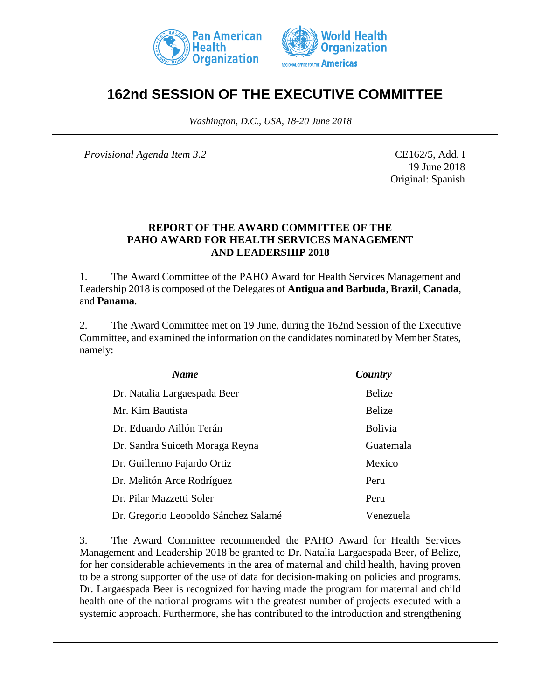



# **162nd SESSION OF THE EXECUTIVE COMMITTEE**

*Washington, D.C., USA, 18-20 June 2018*

*Provisional Agenda Item 3.2* CE162/5, Add. I

19 June 2018 Original: Spanish

#### **REPORT OF THE AWARD COMMITTEE OF THE PAHO AWARD FOR HEALTH SERVICES MANAGEMENT AND LEADERSHIP 2018**

1. The Award Committee of the PAHO Award for Health Services Management and Leadership 2018 is composed of the Delegates of **Antigua and Barbuda**, **Brazil**, **Canada**, and **Panama**.

2. The Award Committee met on 19 June, during the 162nd Session of the Executive Committee, and examined the information on the candidates nominated by Member States, namely:

| <b>Name</b>                          | Country        |
|--------------------------------------|----------------|
| Dr. Natalia Largaespada Beer         | Belize         |
| Mr. Kim Bautista                     | <b>Belize</b>  |
| Dr. Eduardo Aillón Terán             | <b>Bolivia</b> |
| Dr. Sandra Suiceth Moraga Reyna      | Guatemala      |
| Dr. Guillermo Fajardo Ortiz          | Mexico         |
| Dr. Melitón Arce Rodríguez           | Peru           |
| Dr. Pilar Mazzetti Soler             | Peru           |
| Dr. Gregorio Leopoldo Sánchez Salamé | Venezuela      |

3. The Award Committee recommended the PAHO Award for Health Services Management and Leadership 2018 be granted to Dr. Natalia Largaespada Beer, of Belize, for her considerable achievements in the area of maternal and child health, having proven to be a strong supporter of the use of data for decision-making on policies and programs. Dr. Largaespada Beer is recognized for having made the program for maternal and child health one of the national programs with the greatest number of projects executed with a systemic approach. Furthermore, she has contributed to the introduction and strengthening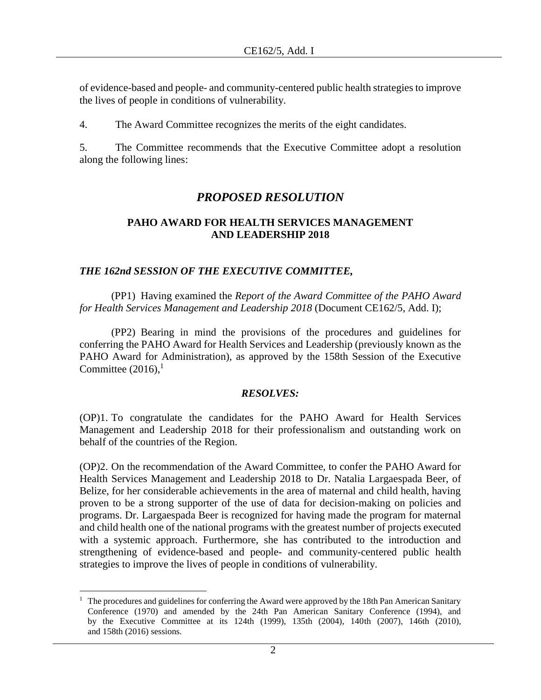of evidence-based and people- and community-centered public health strategies to improve the lives of people in conditions of vulnerability.

4. The Award Committee recognizes the merits of the eight candidates.

5. The Committee recommends that the Executive Committee adopt a resolution along the following lines:

## *PROPOSED RESOLUTION*

#### **PAHO AWARD FOR HEALTH SERVICES MANAGEMENT AND LEADERSHIP 2018**

### *THE 162nd SESSION OF THE EXECUTIVE COMMITTEE,*

(PP1) Having examined the *Report of the Award Committee of the PAHO Award for Health Services Management and Leadership 2018* (Document CE162/5, Add. I);

(PP2) Bearing in mind the provisions of the procedures and guidelines for conferring the PAHO Award for Health Services and Leadership (previously known as the PAHO Award for Administration), as approved by the 158th Session of the Executive Committee  $(2016)$ ,<sup>1</sup>

#### *RESOLVES:*

(OP)1. To congratulate the candidates for the PAHO Award for Health Services Management and Leadership 2018 for their professionalism and outstanding work on behalf of the countries of the Region.

(OP)2. On the recommendation of the Award Committee, to confer the PAHO Award for Health Services Management and Leadership 2018 to Dr. Natalia Largaespada Beer, of Belize, for her considerable achievements in the area of maternal and child health, having proven to be a strong supporter of the use of data for decision-making on policies and programs. Dr. Largaespada Beer is recognized for having made the program for maternal and child health one of the national programs with the greatest number of projects executed with a systemic approach. Furthermore, she has contributed to the introduction and strengthening of evidence-based and people- and community-centered public health strategies to improve the lives of people in conditions of vulnerability.

 $\overline{a}$  $1$  The procedures and guidelines for conferring the Award were approved by the 18th Pan American Sanitary Conference (1970) and amended by the 24th Pan American Sanitary Conference (1994), and by the Executive Committee at its 124th (1999), 135th (2004), 140th (2007), 146th (2010), and 158th (2016) sessions.